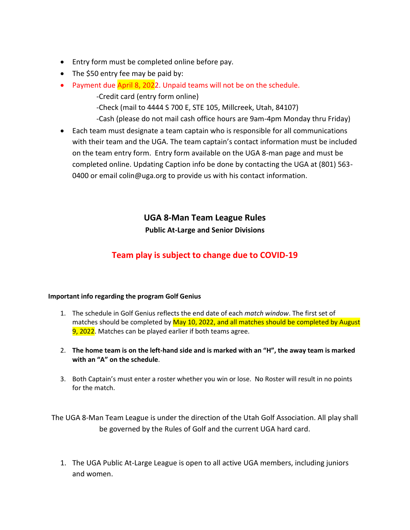- Entry form must be completed online before pay.
- The \$50 entry fee may be paid by:
- Payment due April 8, 2022. Unpaid teams will not be on the schedule. -Credit card (entry form online)

-Check (mail to 4444 S 700 E, STE 105, Millcreek, Utah, 84107)

-Cash (please do not mail cash office hours are 9am-4pm Monday thru Friday)

• Each team must designate a team captain who is responsible for all communications with their team and the UGA. The team captain's contact information must be included on the team entry form. Entry form available on the UGA 8-man page and must be completed online. Updating Caption info be done by contacting the UGA at (801) 563- 0400 or email colin@uga.org to provide us with his contact information.

## **UGA 8-Man Team League Rules Public At-Large and Senior Divisions**

# **Team play is subject to change due to COVID-19**

#### **Important info regarding the program Golf Genius**

- 1. The schedule in Golf Genius reflects the end date of each *match window*. The first set of matches should be completed by May 10, 2022, and all matches should be completed by August 9, 2022. Matches can be played earlier if both teams agree.
- 2. **The home team is on the left-hand side and is marked with an "H", the away team is marked with an "A" on the schedule**.
- 3. Both Captain's must enter a roster whether you win or lose. No Roster will result in no points for the match.

The UGA 8-Man Team League is under the direction of the Utah Golf Association. All play shall be governed by the Rules of Golf and the current UGA hard card.

1. The UGA Public At-Large League is open to all active UGA members, including juniors and women.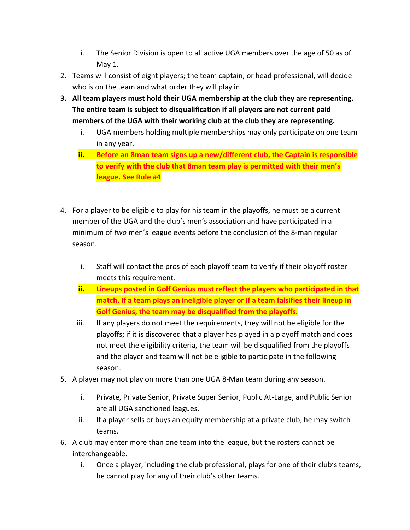- i. The Senior Division is open to all active UGA members over the age of 50 as of May 1.
- 2. Teams will consist of eight players; the team captain, or head professional, will decide who is on the team and what order they will play in.
- **3. All team players must hold their UGA membership at the club they are representing. The entire team is subject to disqualification if all players are not current paid members of the UGA with their working club at the club they are representing.** 
	- i. UGA members holding multiple memberships may only participate on one team in any year.
	- **ii. Before an 8man team signs up a new/different club, the Captain is responsible to verify with the club that 8man team play is permitted with their men's league. See Rule #4**
- 4. For a player to be eligible to play for his team in the playoffs, he must be a current member of the UGA and the club's men's association and have participated in a minimum of *two* men's league events before the conclusion of the 8-man regular season.
	- i. Staff will contact the pros of each playoff team to verify if their playoff roster meets this requirement.
	- **ii. Lineups posted in Golf Genius must reflect the players who participated in that match. If a team plays an ineligible player or if a team falsifies their lineup in Golf Genius, the team may be disqualified from the playoffs.**
	- iii. If any players do not meet the requirements, they will not be eligible for the playoffs; if it is discovered that a player has played in a playoff match and does not meet the eligibility criteria, the team will be disqualified from the playoffs and the player and team will not be eligible to participate in the following season.
- 5. A player may not play on more than one UGA 8-Man team during any season.
	- i. Private, Private Senior, Private Super Senior, Public At-Large, and Public Senior are all UGA sanctioned leagues.
	- ii. If a player sells or buys an equity membership at a private club, he may switch teams.
- 6. A club may enter more than one team into the league, but the rosters cannot be interchangeable.
	- i. Once a player, including the club professional, plays for one of their club's teams, he cannot play for any of their club's other teams.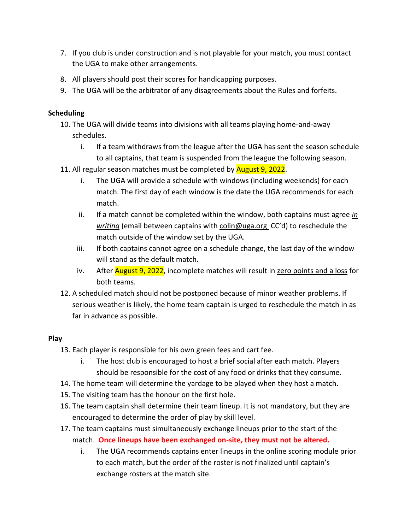- 7. If you club is under construction and is not playable for your match, you must contact the UGA to make other arrangements.
- 8. All players should post their scores for handicapping purposes.
- 9. The UGA will be the arbitrator of any disagreements about the Rules and forfeits.

### **Scheduling**

- 10. The UGA will divide teams into divisions with all teams playing home-and-away schedules.
	- i. If a team withdraws from the league after the UGA has sent the season schedule to all captains, that team is suspended from the league the following season.
- 11. All regular season matches must be completed by **August 9, 2022**.
	- i. The UGA will provide a schedule with windows (including weekends) for each match. The first day of each window is the date the UGA recommends for each match.
	- ii. If a match cannot be completed within the window, both captains must agree *in writing* (email between captains with coli[n@uga.org](mailto:shauna@uga.org) CC'd) to reschedule the match outside of the window set by the UGA.
	- iii. If both captains cannot agree on a schedule change, the last day of the window will stand as the default match.
	- iv. After **August 9, 2022**, incomplete matches will result in zero points and a loss for both teams.
- 12. A scheduled match should not be postponed because of minor weather problems. If serious weather is likely, the home team captain is urged to reschedule the match in as far in advance as possible.

## **Play**

- 13. Each player is responsible for his own green fees and cart fee.
	- i. The host club is encouraged to host a brief social after each match. Players should be responsible for the cost of any food or drinks that they consume.
- 14. The home team will determine the yardage to be played when they host a match.
- 15. The visiting team has the honour on the first hole.
- 16. The team captain shall determine their team lineup. It is not mandatory, but they are encouraged to determine the order of play by skill level.
- 17. The team captains must simultaneously exchange lineups prior to the start of the match. **Once lineups have been exchanged on-site, they must not be altered.**
	- i. The UGA recommends captains enter lineups in the online scoring module prior to each match, but the order of the roster is not finalized until captain's exchange rosters at the match site.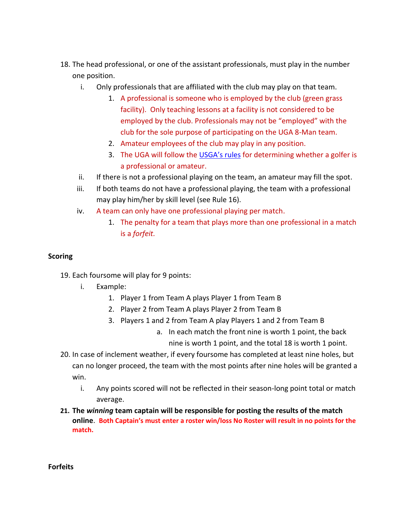- 18. The head professional, or one of the assistant professionals, must play in the number one position.
	- i. Only professionals that are affiliated with the club may play on that team.
		- 1. A professional is someone who is employed by the club (green grass facility). Only teaching lessons at a facility is not considered to be employed by the club. Professionals may not be "employed" with the club for the sole purpose of participating on the UGA 8-Man team.
		- 2. Amateur employees of the club may play in any position.
		- 3. The UGA will follow the USGA['s rules](https://www.usga.org/content/usga/home-page/rules-hub/amateur-status/amateur-status-modernization/rule-2.html) for determining whether a golfer is a professional or amateur.
	- ii. If there is not a professional playing on the team, an amateur may fill the spot.
	- iii. If both teams do not have a professional playing, the team with a professional may play him/her by skill level (see Rule 16).
	- iv. A team can only have one professional playing per match.
		- 1. The penalty for a team that plays more than one professional in a match is a *forfeit.*

#### **Scoring**

- 19. Each foursome will play for 9 points:
	- i. Example:
		- 1. Player 1 from Team A plays Player 1 from Team B
		- 2. Player 2 from Team A plays Player 2 from Team B
		- 3. Players 1 and 2 from Team A play Players 1 and 2 from Team B
			- a. In each match the front nine is worth 1 point, the back nine is worth 1 point, and the total 18 is worth 1 point.
- 20. In case of inclement weather, if every foursome has completed at least nine holes, but can no longer proceed, the team with the most points after nine holes will be granted a win.
	- i. Any points scored will not be reflected in their season-long point total or match average.
- **21. The** *winning* **team captain will be responsible for posting the results of the match online**. **Both Captain's must enter a roster win/loss No Roster will result in no points for the match.**

**Forfeits**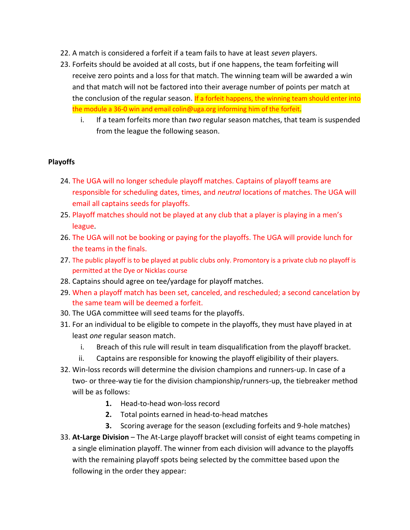- 22. A match is considered a forfeit if a team fails to have at least *seven* players.
- 23. Forfeits should be avoided at all costs, but if one happens, the team forfeiting will receive zero points and a loss for that match. The winning team will be awarded a win and that match will not be factored into their average number of points per match at the conclusion of the regular season. If a forfeit happens, the winning team should enter into the module a 36-0 win and email colin@uga.org informing him of the forfeit.
	- i. If a team forfeits more than *two* regular season matches, that team is suspended from the league the following season.

#### **Playoffs**

- 24. The UGA will no longer schedule playoff matches. Captains of playoff teams are responsible for scheduling dates, times, and *neutral* locations of matches. The UGA will email all captains seeds for playoffs.
- 25. Playoff matches should not be played at any club that a player is playing in a men's league.
- 26. The UGA will not be booking or paying for the playoffs. The UGA will provide lunch for the teams in the finals.
- 27. The public playoff is to be played at public clubs only. Promontory is a private club no playoff is permitted at the Dye or Nicklas course
- 28. Captains should agree on tee/yardage for playoff matches.
- 29. When a playoff match has been set, canceled, and rescheduled; a second cancelation by the same team will be deemed a forfeit.
- 30. The UGA committee will seed teams for the playoffs.
- 31. For an individual to be eligible to compete in the playoffs, they must have played in at least *one* regular season match.
	- i. Breach of this rule will result in team disqualification from the playoff bracket.
	- ii. Captains are responsible for knowing the playoff eligibility of their players.
- 32. Win-loss records will determine the division champions and runners-up. In case of a two- or three-way tie for the division championship/runners-up, the tiebreaker method will be as follows:
	- **1.** Head-to-head won-loss record
	- **2.** Total points earned in head-to-head matches
	- **3.** Scoring average for the season (excluding forfeits and 9-hole matches)
- 33. **At-Large Division** The At-Large playoff bracket will consist of eight teams competing in a single elimination playoff. The winner from each division will advance to the playoffs with the remaining playoff spots being selected by the committee based upon the following in the order they appear: